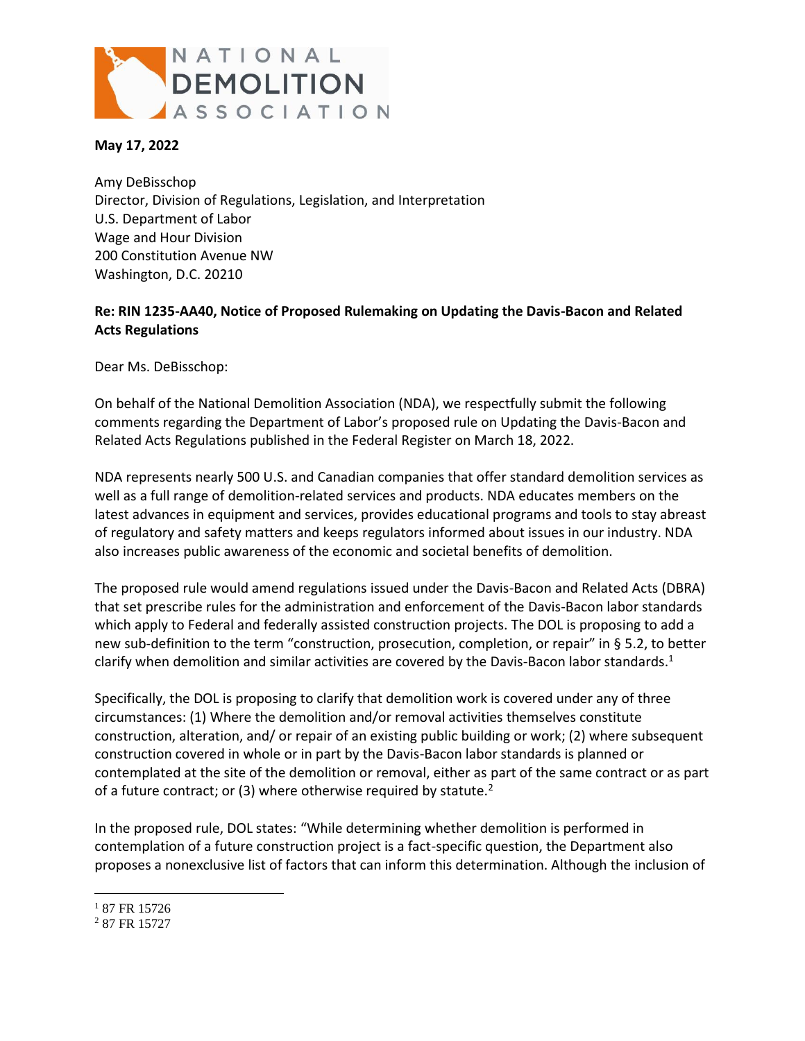

## **May 17, 2022**

Amy DeBisschop Director, Division of Regulations, Legislation, and Interpretation U.S. Department of Labor Wage and Hour Division 200 Constitution Avenue NW Washington, D.C. 20210

## **Re: RIN 1235-AA40, Notice of Proposed Rulemaking on Updating the Davis-Bacon and Related Acts Regulations**

Dear Ms. DeBisschop:

On behalf of the National Demolition Association (NDA), we respectfully submit the following comments regarding the Department of Labor's proposed rule on Updating the Davis-Bacon and Related Acts Regulations published in the Federal Register on March 18, 2022.

NDA represents nearly 500 U.S. and Canadian companies that offer standard demolition services as well as a full range of demolition-related services and products. NDA educates members on the latest advances in equipment and services, provides educational programs and tools to stay abreast of regulatory and safety matters and keeps regulators informed about issues in our industry. NDA also increases public awareness of the economic and societal benefits of demolition.

The proposed rule would amend regulations issued under the Davis-Bacon and Related Acts (DBRA) that set prescribe rules for the administration and enforcement of the Davis-Bacon labor standards which apply to Federal and federally assisted construction projects. The DOL is proposing to add a new sub-definition to the term "construction, prosecution, completion, or repair" in § 5.2, to better clarify when demolition and similar activities are covered by the Davis-Bacon labor standards. $1$ 

Specifically, the DOL is proposing to clarify that demolition work is covered under any of three circumstances: (1) Where the demolition and/or removal activities themselves constitute construction, alteration, and/ or repair of an existing public building or work; (2) where subsequent construction covered in whole or in part by the Davis-Bacon labor standards is planned or contemplated at the site of the demolition or removal, either as part of the same contract or as part of a future contract; or (3) where otherwise required by statute.<sup>2</sup>

In the proposed rule, DOL states: "While determining whether demolition is performed in contemplation of a future construction project is a fact-specific question, the Department also proposes a nonexclusive list of factors that can inform this determination. Although the inclusion of

 $\overline{a}$ 

<sup>&</sup>lt;sup>1</sup> 87 FR 15726

<sup>2</sup> 87 FR 15727